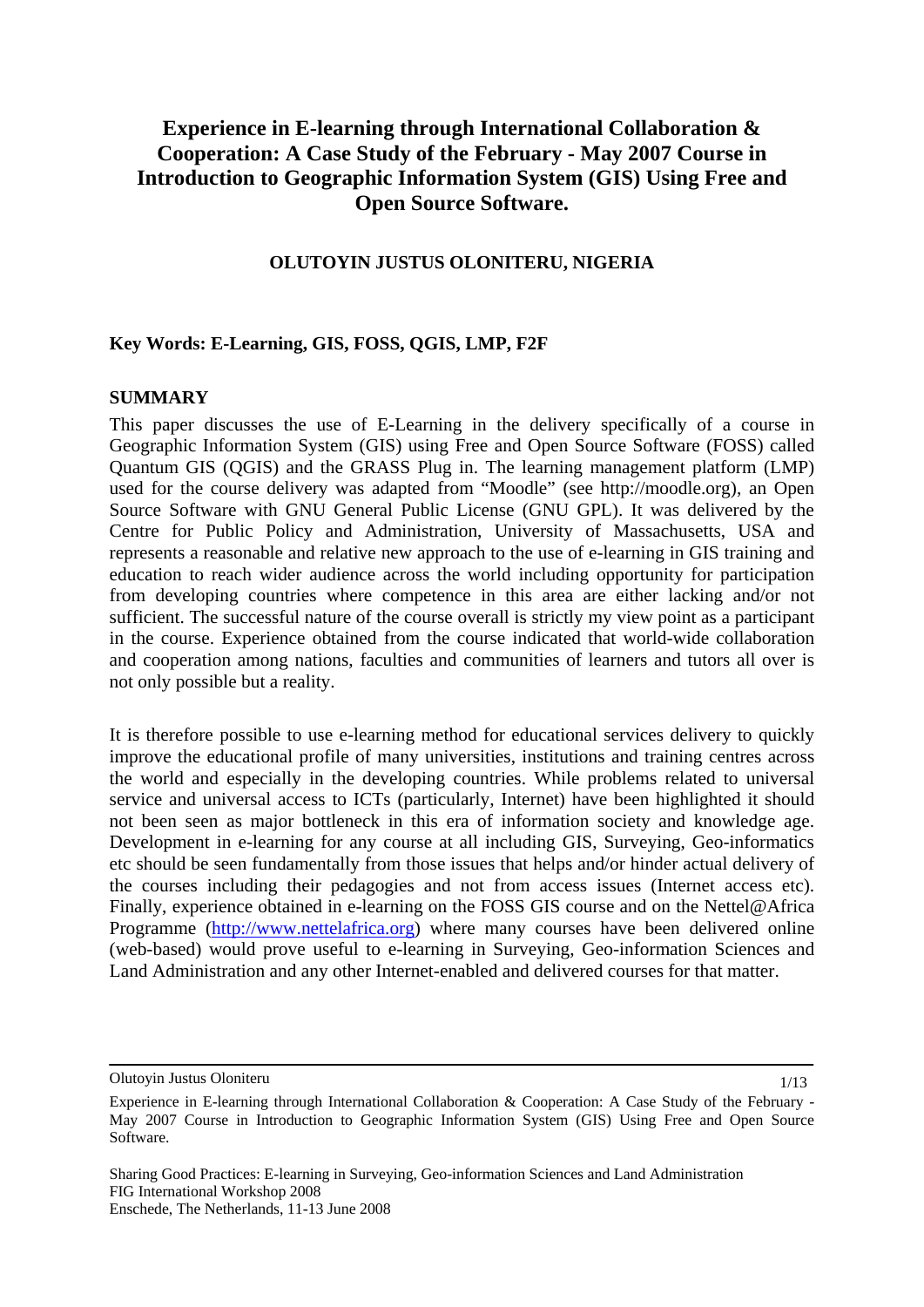# **Experience in E-learning through International Collaboration & Cooperation: A Case Study of the February - May 2007 Course in Introduction to Geographic Information System (GIS) Using Free and Open Source Software.**

### **OLUTOYIN JUSTUS OLONITERU, NIGERIA**

### **Key Words: E-Learning, GIS, FOSS, QGIS, LMP, F2F**

### **SUMMARY**

This paper discusses the use of E-Learning in the delivery specifically of a course in Geographic Information System (GIS) using Free and Open Source Software (FOSS) called Quantum GIS (QGIS) and the GRASS Plug in. The learning management platform (LMP) used for the course delivery was adapted from "Moodle" (see http://moodle.org), an Open Source Software with GNU General Public License (GNU GPL). It was delivered by the Centre for Public Policy and Administration, University of Massachusetts, USA and represents a reasonable and relative new approach to the use of e-learning in GIS training and education to reach wider audience across the world including opportunity for participation from developing countries where competence in this area are either lacking and/or not sufficient. The successful nature of the course overall is strictly my view point as a participant in the course. Experience obtained from the course indicated that world-wide collaboration and cooperation among nations, faculties and communities of learners and tutors all over is not only possible but a reality.

It is therefore possible to use e-learning method for educational services delivery to quickly improve the educational profile of many universities, institutions and training centres across the world and especially in the developing countries. While problems related to universal service and universal access to ICTs (particularly, Internet) have been highlighted it should not been seen as major bottleneck in this era of information society and knowledge age. Development in e-learning for any course at all including GIS, Surveying, Geo-informatics etc should be seen fundamentally from those issues that helps and/or hinder actual delivery of the courses including their pedagogies and not from access issues (Internet access etc). Finally, experience obtained in e-learning on the FOSS GIS course and on the Nettel@Africa Programme [\(http://www.nettelafrica.org](http://www.nettelafrica.org/)) where many courses have been delivered online (web-based) would prove useful to e-learning in Surveying, Geo-information Sciences and Land Administration and any other Internet-enabled and delivered courses for that matter.

Olutoyin Justus Oloniteru

1/13

Experience in E-learning through International Collaboration & Cooperation: A Case Study of the February - May 2007 Course in Introduction to Geographic Information System (GIS) Using Free and Open Source Software.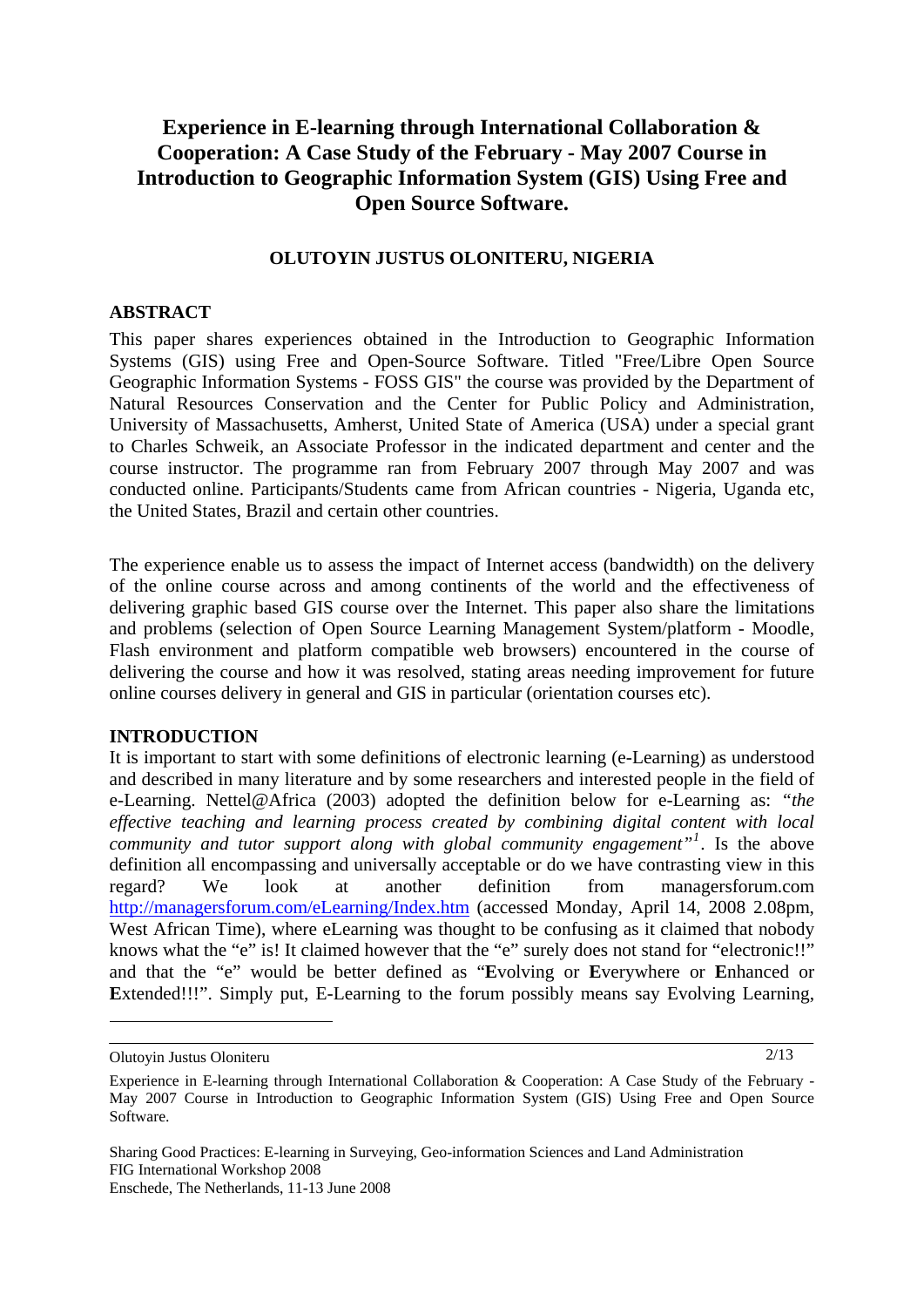## **Experience in E-learning through International Collaboration & Cooperation: A Case Study of the February - May 2007 Course in Introduction to Geographic Information System (GIS) Using Free and Open Source Software.**

### **OLUTOYIN JUSTUS OLONITERU, NIGERIA**

### **ABSTRACT**

This paper shares experiences obtained in the Introduction to Geographic Information Systems (GIS) using Free and Open-Source Software. Titled "Free/Libre Open Source Geographic Information Systems - FOSS GIS" the course was provided by the Department of Natural Resources Conservation and the Center for Public Policy and Administration, University of Massachusetts, Amherst, United State of America (USA) under a special grant to Charles Schweik, an Associate Professor in the indicated department and center and the course instructor. The programme ran from February 2007 through May 2007 and was conducted online. Participants/Students came from African countries - Nigeria, Uganda etc, the United States, Brazil and certain other countries.

The experience enable us to assess the impact of Internet access (bandwidth) on the delivery of the online course across and among continents of the world and the effectiveness of delivering graphic based GIS course over the Internet. This paper also share the limitations and problems (selection of Open Source Learning Management System/platform - Moodle, Flash environment and platform compatible web browsers) encountered in the course of delivering the course and how it was resolved, stating areas needing improvement for future online courses delivery in general and GIS in particular (orientation courses etc).

#### **INTRODUCTION**

It is important to start with some definitions of electronic learning (e-Learning) as understood and described in many literature and by some researchers and interested people in the field of e-Learning. Nettel@Africa (2003) adopted the definition below for e-Learning as: *"the effective teaching and learning process created by combining digital content with local community and tutor support along with global community engagement"[1](#page-1-0)* . Is the above definition all encompassing and universally acceptable or do we have contrasting view in this regard? We look at another definition from managersforum.com <http://managersforum.com/eLearning/Index.htm>(accessed Monday, April 14, 2008 2.08pm, West African Time), where eLearning was thought to be confusing as it claimed that nobody knows what the "e" is! It claimed however that the "e" surely does not stand for "electronic!!" and that the "e" would be better defined as "**E**volving or **E**verywhere or **E**nhanced or Extended!!!". Simply put, E-Learning to the forum possibly means say Evolving Learning,

 $\overline{a}$ 

2/13

<span id="page-1-0"></span>Olutoyin Justus Oloniteru

Experience in E-learning through International Collaboration & Cooperation: A Case Study of the February - May 2007 Course in Introduction to Geographic Information System (GIS) Using Free and Open Source Software.

Sharing Good Practices: E-learning in Surveying, Geo-information Sciences and Land Administration FIG International Workshop 2008 Enschede, The Netherlands, 11-13 June 2008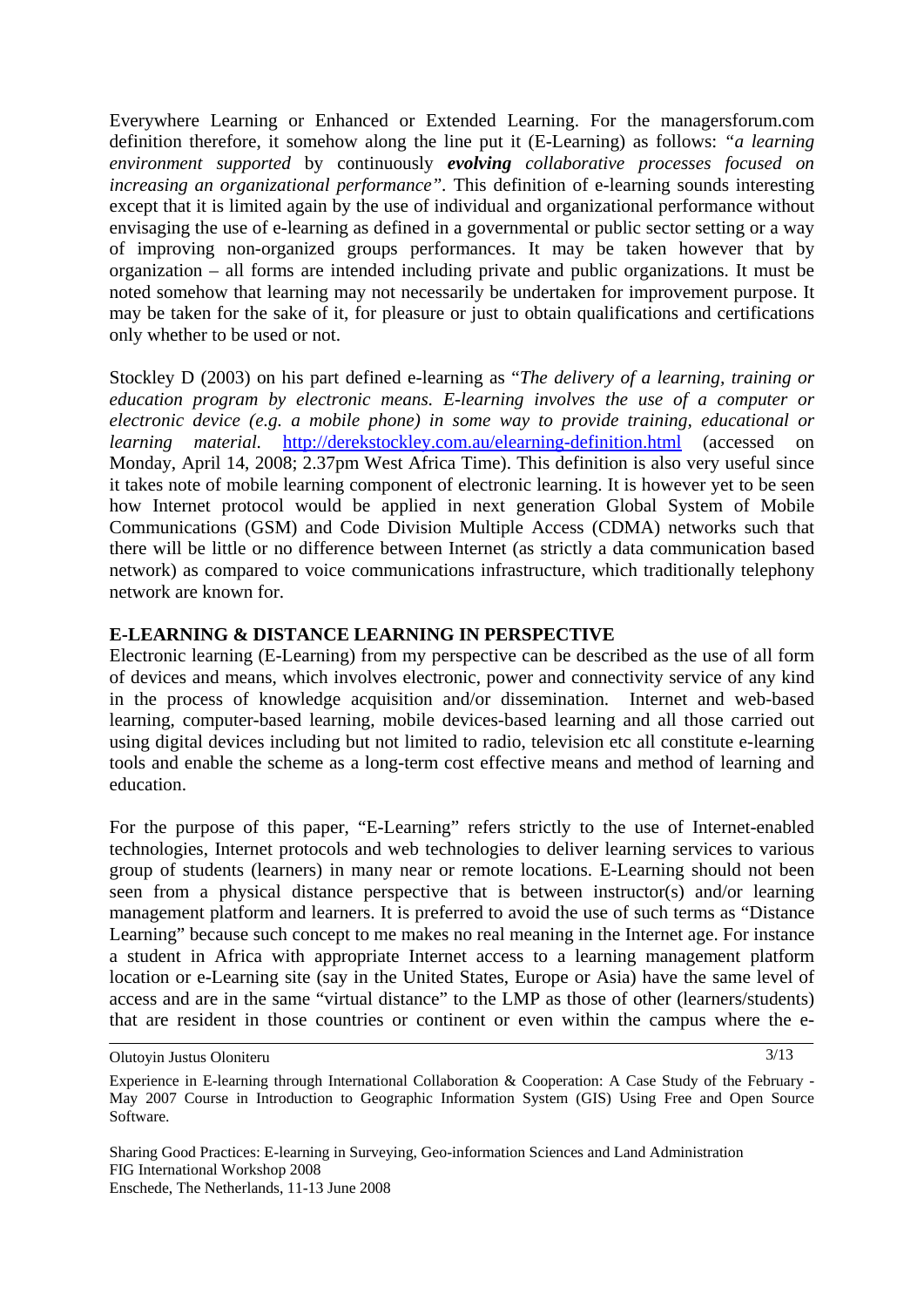Everywhere Learning or Enhanced or Extended Learning. For the managersforum.com definition therefore, it somehow along the line put it (E-Learning) as follows: *"a learning environment supported* by continuously *evolving collaborative processes focused on increasing an organizational performance*". This definition of e-learning sounds interesting except that it is limited again by the use of individual and organizational performance without envisaging the use of e-learning as defined in a governmental or public sector setting or a way of improving non-organized groups performances. It may be taken however that by organization – all forms are intended including private and public organizations. It must be noted somehow that learning may not necessarily be undertaken for improvement purpose. It may be taken for the sake of it, for pleasure or just to obtain qualifications and certifications only whether to be used or not.

Stockley D (2003) on his part defined e-learning as "*The delivery of a learning, training or education program by electronic means. E-learning involves the use of a computer or electronic device (e.g. a mobile phone) in some way to provide training, educational or learning material.* <http://derekstockley.com.au/elearning-definition.html> (accessed on Monday, April 14, 2008; 2.37pm West Africa Time). This definition is also very useful since it takes note of mobile learning component of electronic learning. It is however yet to be seen how Internet protocol would be applied in next generation Global System of Mobile Communications (GSM) and Code Division Multiple Access (CDMA) networks such that there will be little or no difference between Internet (as strictly a data communication based network) as compared to voice communications infrastructure, which traditionally telephony network are known for.

### **E-LEARNING & DISTANCE LEARNING IN PERSPECTIVE**

Electronic learning (E-Learning) from my perspective can be described as the use of all form of devices and means, which involves electronic, power and connectivity service of any kind in the process of knowledge acquisition and/or dissemination. Internet and web-based learning, computer-based learning, mobile devices-based learning and all those carried out using digital devices including but not limited to radio, television etc all constitute e-learning tools and enable the scheme as a long-term cost effective means and method of learning and education.

For the purpose of this paper, "E-Learning" refers strictly to the use of Internet-enabled technologies, Internet protocols and web technologies to deliver learning services to various group of students (learners) in many near or remote locations. E-Learning should not been seen from a physical distance perspective that is between instructor(s) and/or learning management platform and learners. It is preferred to avoid the use of such terms as "Distance Learning" because such concept to me makes no real meaning in the Internet age. For instance a student in Africa with appropriate Internet access to a learning management platform location or e-Learning site (say in the United States, Europe or Asia) have the same level of access and are in the same "virtual distance" to the LMP as those of other (learners/students) that are resident in those countries or continent or even within the campus where the e-

Olutoyin Justus Oloniteru

3/13

Experience in E-learning through International Collaboration & Cooperation: A Case Study of the February - May 2007 Course in Introduction to Geographic Information System (GIS) Using Free and Open Source Software.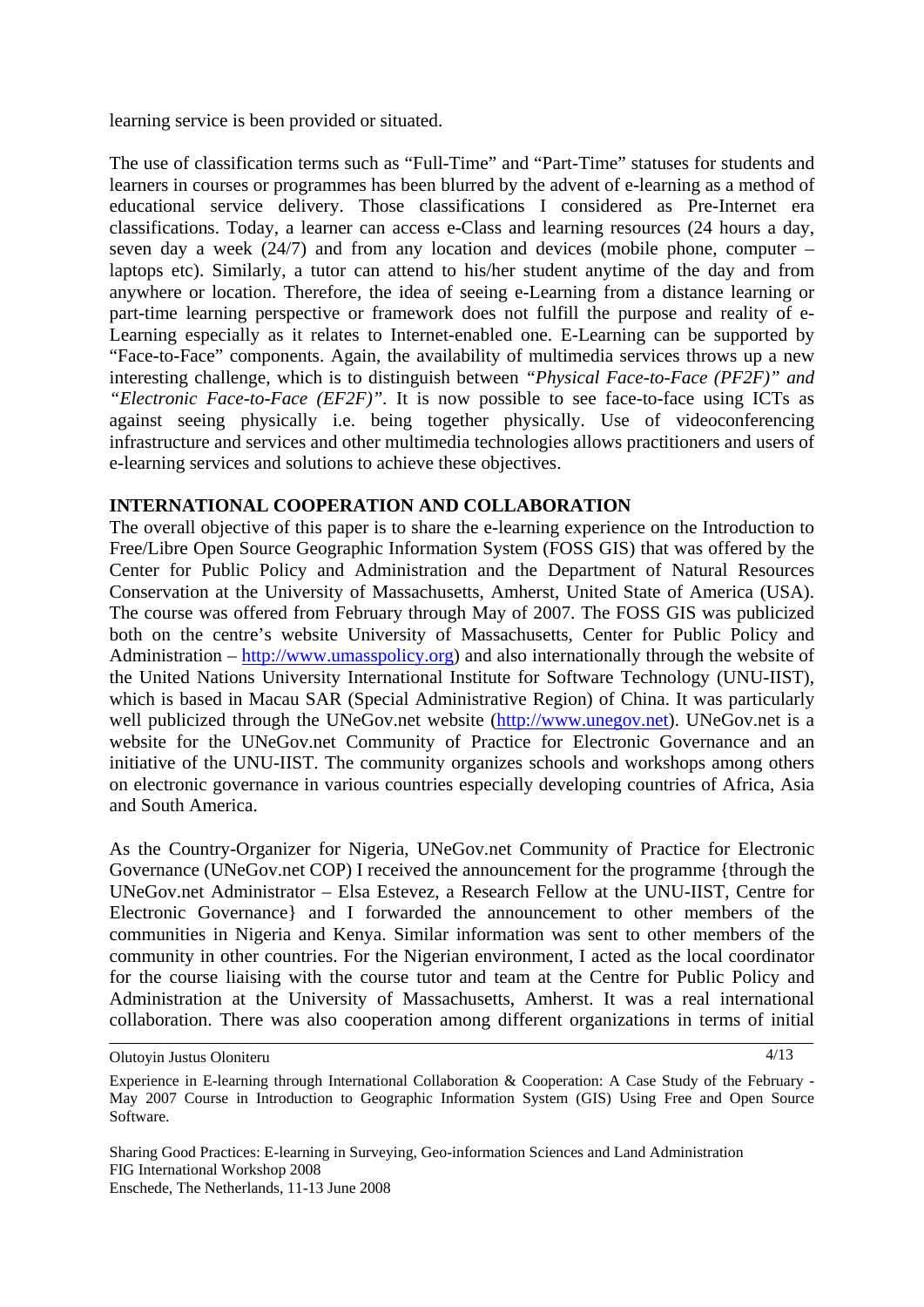learning service is been provided or situated.

The use of classification terms such as "Full-Time" and "Part-Time" statuses for students and learners in courses or programmes has been blurred by the advent of e-learning as a method of educational service delivery. Those classifications I considered as Pre-Internet era classifications. Today, a learner can access e-Class and learning resources (24 hours a day, seven day a week  $(24/7)$  and from any location and devices (mobile phone, computer – laptops etc). Similarly, a tutor can attend to his/her student anytime of the day and from anywhere or location. Therefore, the idea of seeing e-Learning from a distance learning or part-time learning perspective or framework does not fulfill the purpose and reality of e-Learning especially as it relates to Internet-enabled one. E-Learning can be supported by "Face-to-Face" components. Again, the availability of multimedia services throws up a new interesting challenge, which is to distinguish between *"Physical Face-to-Face (PF2F)" and "Electronic Face-to-Face (EF2F)".* It is now possible to see face-to-face using ICTs as against seeing physically i.e. being together physically. Use of videoconferencing infrastructure and services and other multimedia technologies allows practitioners and users of e-learning services and solutions to achieve these objectives.

### **INTERNATIONAL COOPERATION AND COLLABORATION**

The overall objective of this paper is to share the e-learning experience on the Introduction to Free/Libre Open Source Geographic Information System (FOSS GIS) that was offered by the Center for Public Policy and Administration and the Department of Natural Resources Conservation at the University of Massachusetts, Amherst, United State of America (USA). The course was offered from February through May of 2007. The FOSS GIS was publicized both on the centre's website University of Massachusetts, Center for Public Policy and Administration – [http://www.umasspolicy.org\)](http://www.umasspolicy.org/) and also internationally through the website of the United Nations University International Institute for Software Technology (UNU-IIST), which is based in Macau SAR (Special Administrative Region) of China. It was particularly well publicized through the UNeGov.net website [\(http://www.unegov.net\)](http://www.unegov.net/). UNeGov.net is a website for the UNeGov.net Community of Practice for Electronic Governance and an initiative of the UNU-IIST. The community organizes schools and workshops among others on electronic governance in various countries especially developing countries of Africa, Asia and South America.

As the Country-Organizer for Nigeria, UNeGov.net Community of Practice for Electronic Governance (UNeGov.net COP) I received the announcement for the programme {through the UNeGov.net Administrator – Elsa Estevez, a Research Fellow at the UNU-IIST, Centre for Electronic Governance} and I forwarded the announcement to other members of the communities in Nigeria and Kenya. Similar information was sent to other members of the community in other countries. For the Nigerian environment, I acted as the local coordinator for the course liaising with the course tutor and team at the Centre for Public Policy and Administration at the University of Massachusetts, Amherst. It was a real international collaboration. There was also cooperation among different organizations in terms of initial

Olutoyin Justus Oloniteru

4/13

Experience in E-learning through International Collaboration & Cooperation: A Case Study of the February - May 2007 Course in Introduction to Geographic Information System (GIS) Using Free and Open Source Software.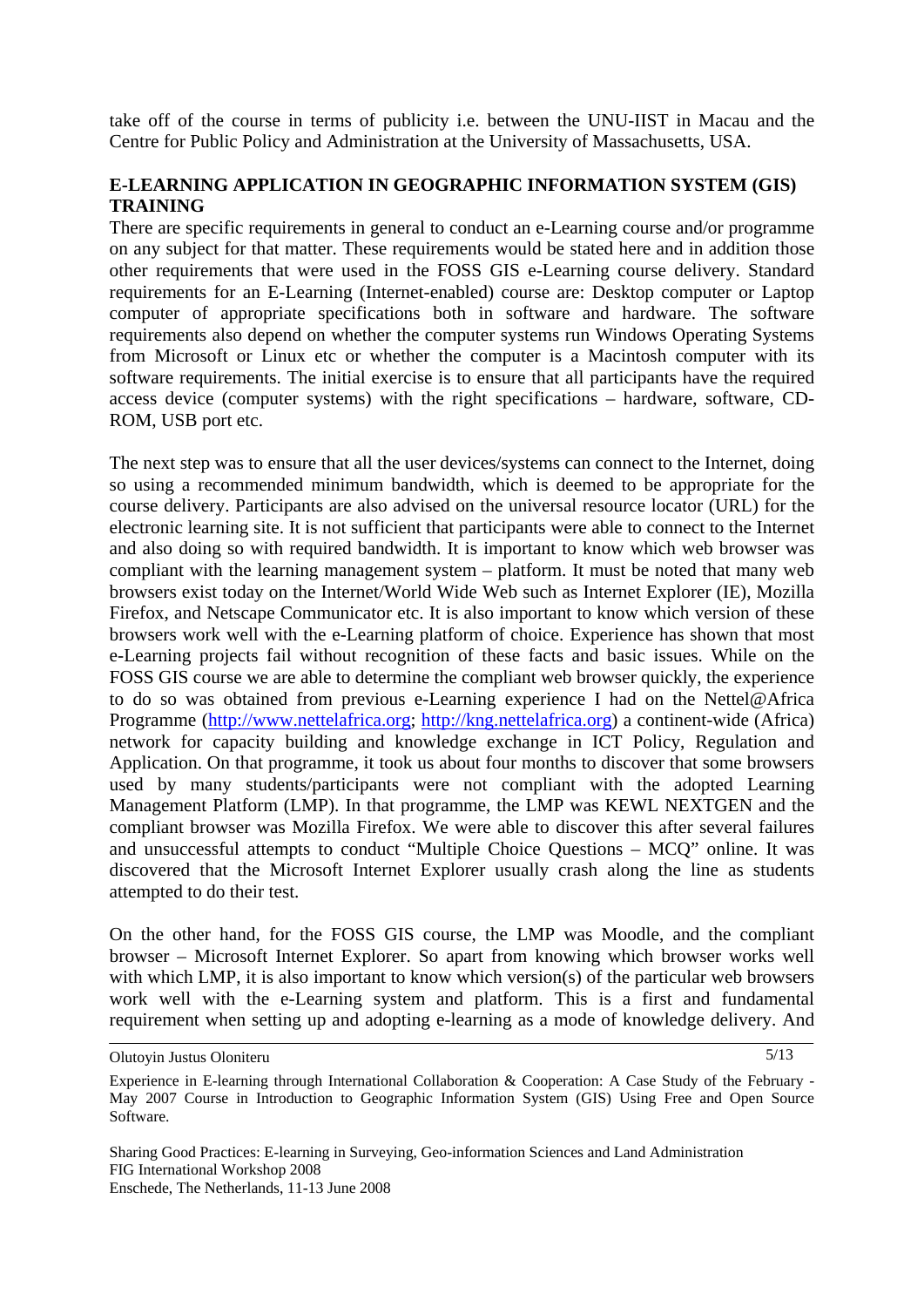take off of the course in terms of publicity i.e. between the UNU-IIST in Macau and the Centre for Public Policy and Administration at the University of Massachusetts, USA.

### **E-LEARNING APPLICATION IN GEOGRAPHIC INFORMATION SYSTEM (GIS) TRAINING**

There are specific requirements in general to conduct an e-Learning course and/or programme on any subject for that matter. These requirements would be stated here and in addition those other requirements that were used in the FOSS GIS e-Learning course delivery. Standard requirements for an E-Learning (Internet-enabled) course are: Desktop computer or Laptop computer of appropriate specifications both in software and hardware. The software requirements also depend on whether the computer systems run Windows Operating Systems from Microsoft or Linux etc or whether the computer is a Macintosh computer with its software requirements. The initial exercise is to ensure that all participants have the required access device (computer systems) with the right specifications – hardware, software, CD-ROM, USB port etc.

The next step was to ensure that all the user devices/systems can connect to the Internet, doing so using a recommended minimum bandwidth, which is deemed to be appropriate for the course delivery. Participants are also advised on the universal resource locator (URL) for the electronic learning site. It is not sufficient that participants were able to connect to the Internet and also doing so with required bandwidth. It is important to know which web browser was compliant with the learning management system – platform. It must be noted that many web browsers exist today on the Internet/World Wide Web such as Internet Explorer (IE), Mozilla Firefox, and Netscape Communicator etc. It is also important to know which version of these browsers work well with the e-Learning platform of choice. Experience has shown that most e-Learning projects fail without recognition of these facts and basic issues. While on the FOSS GIS course we are able to determine the compliant web browser quickly, the experience to do so was obtained from previous e-Learning experience I had on the Nettel@Africa Programme [\(http://www.nettelafrica.org;](http://www.nettelafrica.org/) [http://kng.nettelafrica.org](http://kng.nettelafrica.org/)) a continent-wide (Africa) network for capacity building and knowledge exchange in ICT Policy, Regulation and Application. On that programme, it took us about four months to discover that some browsers used by many students/participants were not compliant with the adopted Learning Management Platform (LMP). In that programme, the LMP was KEWL NEXTGEN and the compliant browser was Mozilla Firefox. We were able to discover this after several failures and unsuccessful attempts to conduct "Multiple Choice Questions – MCQ" online. It was discovered that the Microsoft Internet Explorer usually crash along the line as students attempted to do their test.

On the other hand, for the FOSS GIS course, the LMP was Moodle, and the compliant browser – Microsoft Internet Explorer. So apart from knowing which browser works well with which LMP, it is also important to know which version(s) of the particular web browsers work well with the e-Learning system and platform. This is a first and fundamental requirement when setting up and adopting e-learning as a mode of knowledge delivery. And

5/13

Olutoyin Justus Oloniteru

Experience in E-learning through International Collaboration & Cooperation: A Case Study of the February - May 2007 Course in Introduction to Geographic Information System (GIS) Using Free and Open Source Software.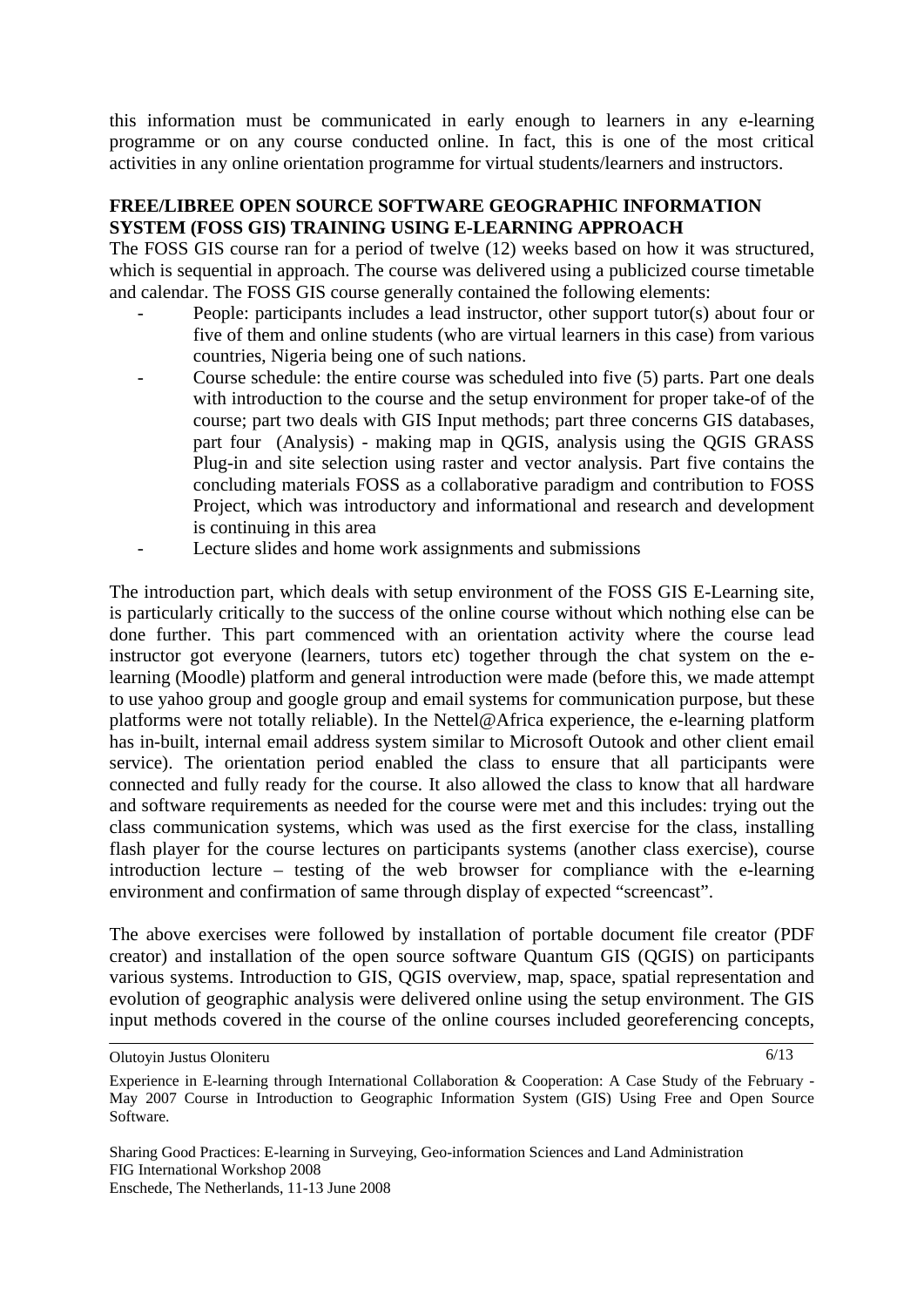this information must be communicated in early enough to learners in any e-learning programme or on any course conducted online. In fact, this is one of the most critical activities in any online orientation programme for virtual students/learners and instructors.

### **FREE/LIBREE OPEN SOURCE SOFTWARE GEOGRAPHIC INFORMATION SYSTEM (FOSS GIS) TRAINING USING E-LEARNING APPROACH**

The FOSS GIS course ran for a period of twelve (12) weeks based on how it was structured, which is sequential in approach. The course was delivered using a publicized course timetable and calendar. The FOSS GIS course generally contained the following elements:

- People: participants includes a lead instructor, other support tutor(s) about four or five of them and online students (who are virtual learners in this case) from various countries, Nigeria being one of such nations.
- Course schedule: the entire course was scheduled into five (5) parts. Part one deals with introduction to the course and the setup environment for proper take-of of the course; part two deals with GIS Input methods; part three concerns GIS databases, part four (Analysis) - making map in QGIS, analysis using the QGIS GRASS Plug-in and site selection using raster and vector analysis. Part five contains the concluding materials FOSS as a collaborative paradigm and contribution to FOSS Project, which was introductory and informational and research and development is continuing in this area
- Lecture slides and home work assignments and submissions

The introduction part, which deals with setup environment of the FOSS GIS E-Learning site, is particularly critically to the success of the online course without which nothing else can be done further. This part commenced with an orientation activity where the course lead instructor got everyone (learners, tutors etc) together through the chat system on the elearning (Moodle) platform and general introduction were made (before this, we made attempt to use yahoo group and google group and email systems for communication purpose, but these platforms were not totally reliable). In the Nettel@Africa experience, the e-learning platform has in-built, internal email address system similar to Microsoft Outook and other client email service). The orientation period enabled the class to ensure that all participants were connected and fully ready for the course. It also allowed the class to know that all hardware and software requirements as needed for the course were met and this includes: trying out the class communication systems, which was used as the first exercise for the class, installing flash player for the course lectures on participants systems (another class exercise), course introduction lecture – testing of the web browser for compliance with the e-learning environment and confirmation of same through display of expected "screencast".

The above exercises were followed by installation of portable document file creator (PDF creator) and installation of the open source software Quantum GIS (QGIS) on participants various systems. Introduction to GIS, QGIS overview, map, space, spatial representation and evolution of geographic analysis were delivered online using the setup environment. The GIS input methods covered in the course of the online courses included georeferencing concepts,

6/13

Olutoyin Justus Oloniteru

Experience in E-learning through International Collaboration & Cooperation: A Case Study of the February - May 2007 Course in Introduction to Geographic Information System (GIS) Using Free and Open Source Software.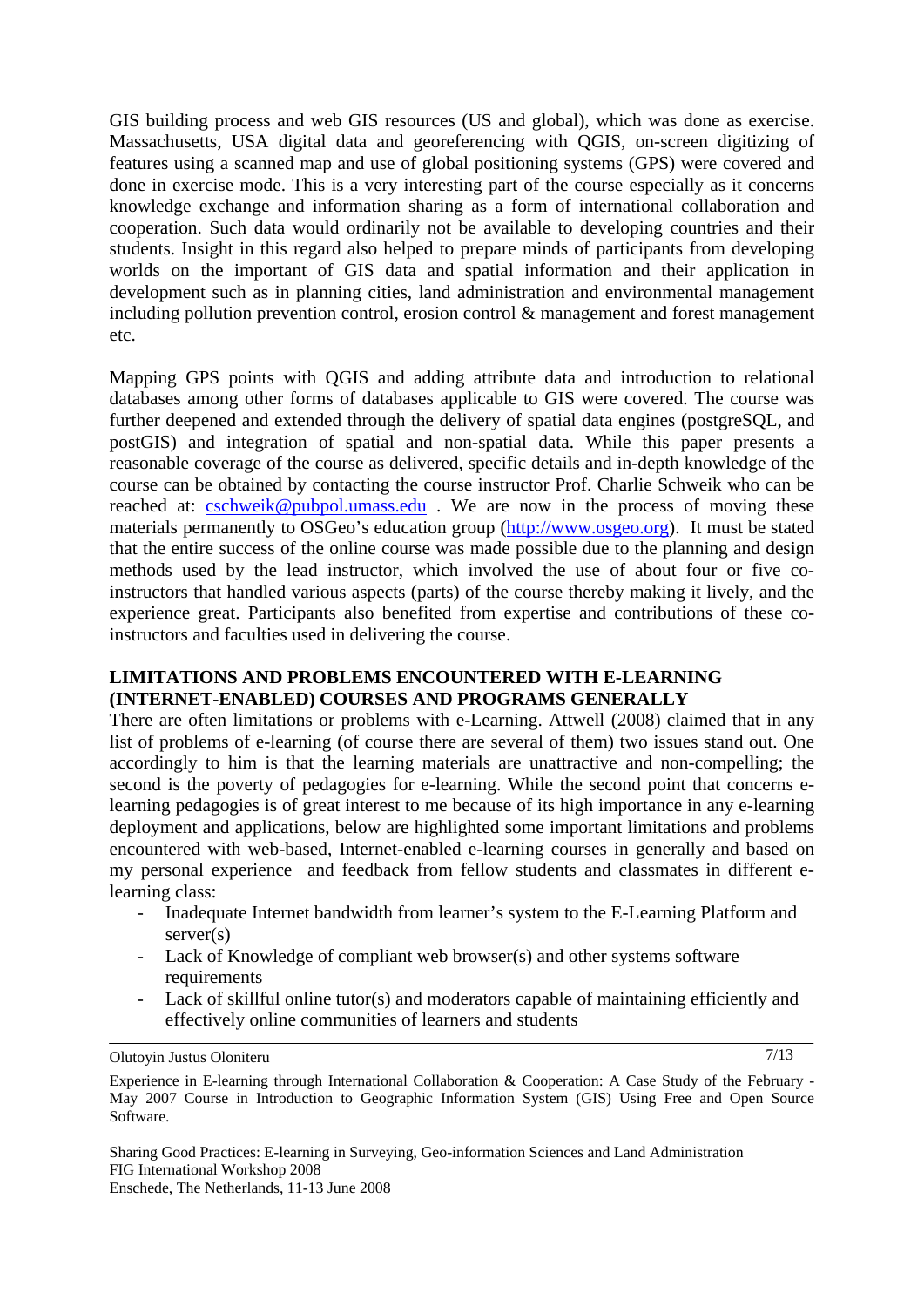GIS building process and web GIS resources (US and global), which was done as exercise. Massachusetts, USA digital data and georeferencing with QGIS, on-screen digitizing of features using a scanned map and use of global positioning systems (GPS) were covered and done in exercise mode. This is a very interesting part of the course especially as it concerns knowledge exchange and information sharing as a form of international collaboration and cooperation. Such data would ordinarily not be available to developing countries and their students. Insight in this regard also helped to prepare minds of participants from developing worlds on the important of GIS data and spatial information and their application in development such as in planning cities, land administration and environmental management including pollution prevention control, erosion control & management and forest management etc.

Mapping GPS points with QGIS and adding attribute data and introduction to relational databases among other forms of databases applicable to GIS were covered. The course was further deepened and extended through the delivery of spatial data engines (postgreSQL, and postGIS) and integration of spatial and non-spatial data. While this paper presents a reasonable coverage of the course as delivered, specific details and in-depth knowledge of the course can be obtained by contacting the course instructor Prof. Charlie Schweik who can be reached at: cschweik@pubpol.umass.edu. We are now in the process of moving these materials permanently to OSGeo's education group [\(http://www.osgeo.org](http://www.osgeo.org/)). It must be stated that the entire success of the online course was made possible due to the planning and design methods used by the lead instructor, which involved the use of about four or five coinstructors that handled various aspects (parts) of the course thereby making it lively, and the experience great. Participants also benefited from expertise and contributions of these coinstructors and faculties used in delivering the course.

### **LIMITATIONS AND PROBLEMS ENCOUNTERED WITH E-LEARNING (INTERNET-ENABLED) COURSES AND PROGRAMS GENERALLY**

There are often limitations or problems with e-Learning. Attwell (2008) claimed that in any list of problems of e-learning (of course there are several of them) two issues stand out. One accordingly to him is that the learning materials are unattractive and non-compelling; the second is the poverty of pedagogies for e-learning. While the second point that concerns elearning pedagogies is of great interest to me because of its high importance in any e-learning deployment and applications, below are highlighted some important limitations and problems encountered with web-based, Internet-enabled e-learning courses in generally and based on my personal experience and feedback from fellow students and classmates in different elearning class:

- Inadequate Internet bandwidth from learner's system to the E-Learning Platform and server(s)
- Lack of Knowledge of compliant web browser(s) and other systems software requirements
- Lack of skillful online tutor(s) and moderators capable of maintaining efficiently and effectively online communities of learners and students

Olutoyin Justus Oloniteru

7/13

Experience in E-learning through International Collaboration & Cooperation: A Case Study of the February - May 2007 Course in Introduction to Geographic Information System (GIS) Using Free and Open Source Software.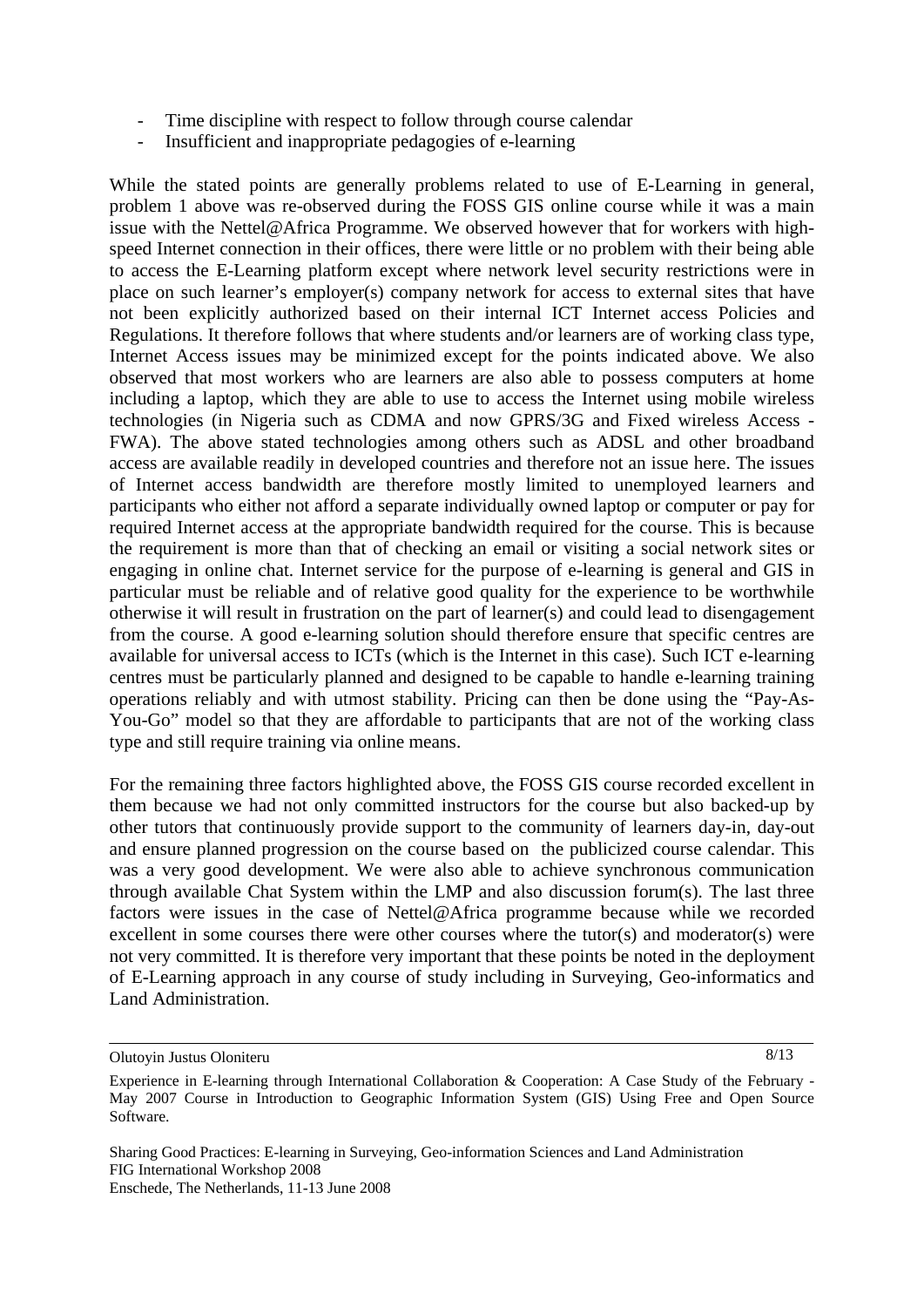- Time discipline with respect to follow through course calendar
- Insufficient and inappropriate pedagogies of e-learning

While the stated points are generally problems related to use of E-Learning in general, problem 1 above was re-observed during the FOSS GIS online course while it was a main issue with the Nettel@Africa Programme. We observed however that for workers with highspeed Internet connection in their offices, there were little or no problem with their being able to access the E-Learning platform except where network level security restrictions were in place on such learner's employer(s) company network for access to external sites that have not been explicitly authorized based on their internal ICT Internet access Policies and Regulations. It therefore follows that where students and/or learners are of working class type, Internet Access issues may be minimized except for the points indicated above. We also observed that most workers who are learners are also able to possess computers at home including a laptop, which they are able to use to access the Internet using mobile wireless technologies (in Nigeria such as CDMA and now GPRS/3G and Fixed wireless Access - FWA). The above stated technologies among others such as ADSL and other broadband access are available readily in developed countries and therefore not an issue here. The issues of Internet access bandwidth are therefore mostly limited to unemployed learners and participants who either not afford a separate individually owned laptop or computer or pay for required Internet access at the appropriate bandwidth required for the course. This is because the requirement is more than that of checking an email or visiting a social network sites or engaging in online chat. Internet service for the purpose of e-learning is general and GIS in particular must be reliable and of relative good quality for the experience to be worthwhile otherwise it will result in frustration on the part of learner(s) and could lead to disengagement from the course. A good e-learning solution should therefore ensure that specific centres are available for universal access to ICTs (which is the Internet in this case). Such ICT e-learning centres must be particularly planned and designed to be capable to handle e-learning training operations reliably and with utmost stability. Pricing can then be done using the "Pay-As-You-Go" model so that they are affordable to participants that are not of the working class type and still require training via online means.

For the remaining three factors highlighted above, the FOSS GIS course recorded excellent in them because we had not only committed instructors for the course but also backed-up by other tutors that continuously provide support to the community of learners day-in, day-out and ensure planned progression on the course based on the publicized course calendar. This was a very good development. We were also able to achieve synchronous communication through available Chat System within the LMP and also discussion forum(s). The last three factors were issues in the case of Nettel@Africa programme because while we recorded excellent in some courses there were other courses where the tutor(s) and moderator(s) were not very committed. It is therefore very important that these points be noted in the deployment of E-Learning approach in any course of study including in Surveying, Geo-informatics and Land Administration.

8/13

Olutoyin Justus Oloniteru

Experience in E-learning through International Collaboration & Cooperation: A Case Study of the February - May 2007 Course in Introduction to Geographic Information System (GIS) Using Free and Open Source Software.

Sharing Good Practices: E-learning in Surveying, Geo-information Sciences and Land Administration FIG International Workshop 2008 Enschede, The Netherlands, 11-13 June 2008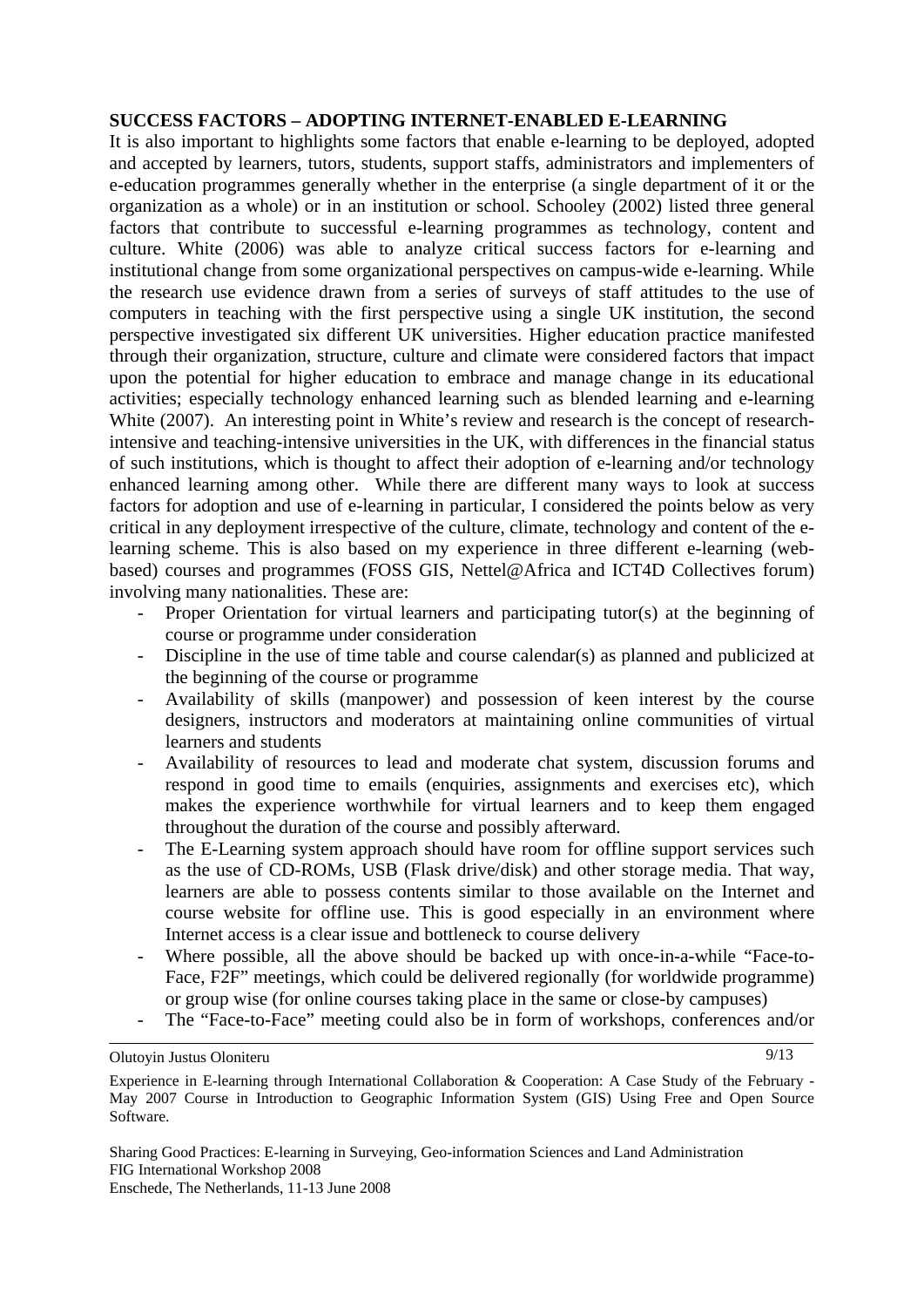### **SUCCESS FACTORS – ADOPTING INTERNET-ENABLED E-LEARNING**

It is also important to highlights some factors that enable e-learning to be deployed, adopted and accepted by learners, tutors, students, support staffs, administrators and implementers of e-education programmes generally whether in the enterprise (a single department of it or the organization as a whole) or in an institution or school. Schooley (2002) listed three general factors that contribute to successful e-learning programmes as technology, content and culture. White (2006) was able to analyze critical success factors for e-learning and institutional change from some organizational perspectives on campus-wide e-learning. While the research use evidence drawn from a series of surveys of staff attitudes to the use of computers in teaching with the first perspective using a single UK institution, the second perspective investigated six different UK universities. Higher education practice manifested through their organization, structure, culture and climate were considered factors that impact upon the potential for higher education to embrace and manage change in its educational activities; especially technology enhanced learning such as blended learning and e-learning White (2007). An interesting point in White's review and research is the concept of researchintensive and teaching-intensive universities in the UK, with differences in the financial status of such institutions, which is thought to affect their adoption of e-learning and/or technology enhanced learning among other. While there are different many ways to look at success factors for adoption and use of e-learning in particular, I considered the points below as very critical in any deployment irrespective of the culture, climate, technology and content of the elearning scheme. This is also based on my experience in three different e-learning (webbased) courses and programmes (FOSS GIS, Nettel@Africa and ICT4D Collectives forum) involving many nationalities. These are:

- Proper Orientation for virtual learners and participating tutor(s) at the beginning of course or programme under consideration
- Discipline in the use of time table and course calendar(s) as planned and publicized at the beginning of the course or programme
- Availability of skills (manpower) and possession of keen interest by the course designers, instructors and moderators at maintaining online communities of virtual learners and students
- Availability of resources to lead and moderate chat system, discussion forums and respond in good time to emails (enquiries, assignments and exercises etc), which makes the experience worthwhile for virtual learners and to keep them engaged throughout the duration of the course and possibly afterward.
- The E-Learning system approach should have room for offline support services such as the use of CD-ROMs, USB (Flask drive/disk) and other storage media. That way, learners are able to possess contents similar to those available on the Internet and course website for offline use. This is good especially in an environment where Internet access is a clear issue and bottleneck to course delivery
- Where possible, all the above should be backed up with once-in-a-while "Face-to-Face, F2F" meetings, which could be delivered regionally (for worldwide programme) or group wise (for online courses taking place in the same or close-by campuses)
- The "Face-to-Face" meeting could also be in form of workshops, conferences and/or

9/13

Olutoyin Justus Oloniteru

Experience in E-learning through International Collaboration & Cooperation: A Case Study of the February - May 2007 Course in Introduction to Geographic Information System (GIS) Using Free and Open Source Software.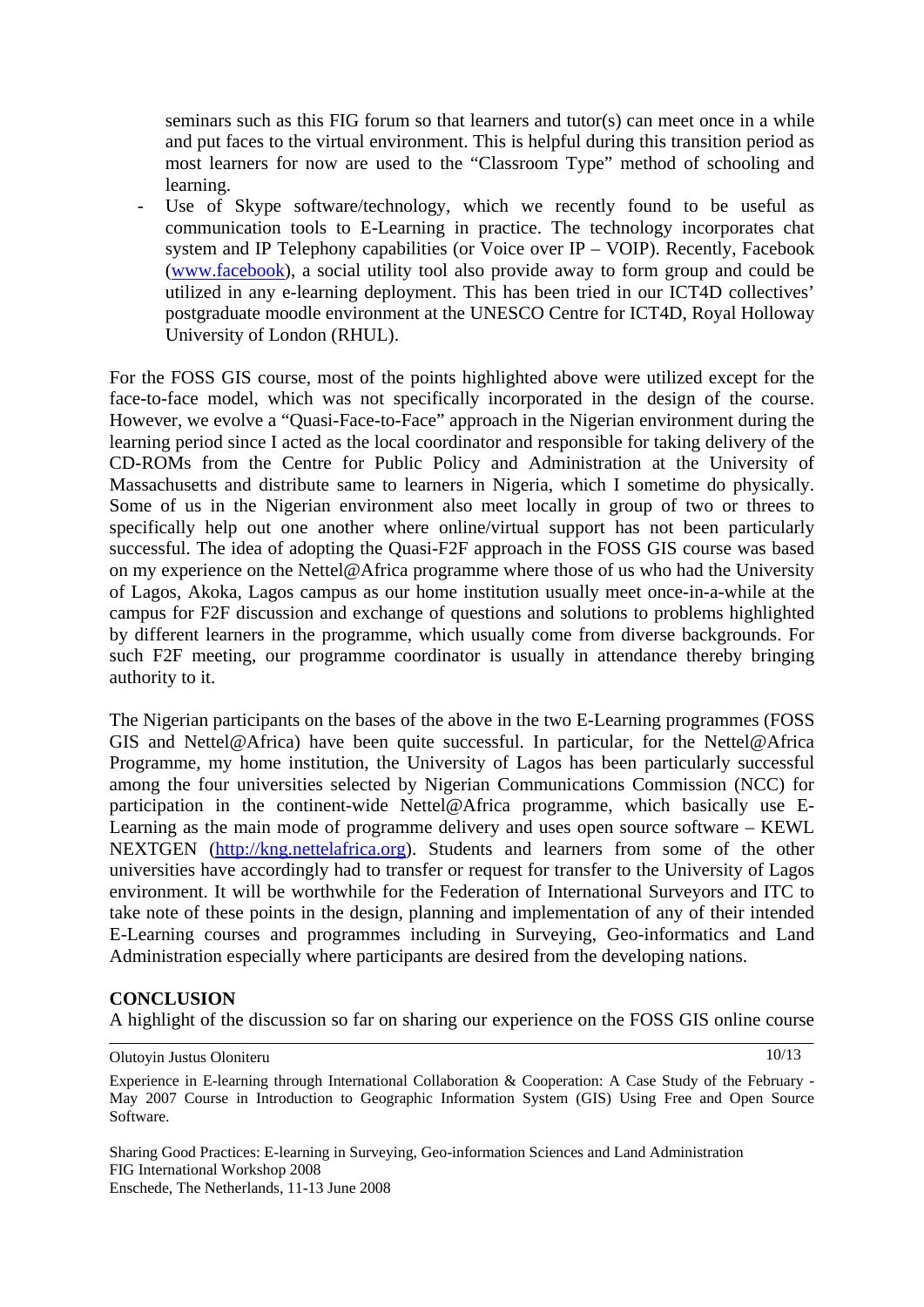seminars such as this FIG forum so that learners and tutor(s) can meet once in a while and put faces to the virtual environment. This is helpful during this transition period as most learners for now are used to the "Classroom Type" method of schooling and learning.

Use of Skype software/technology, which we recently found to be useful as communication tools to E-Learning in practice. The technology incorporates chat system and IP Telephony capabilities (or Voice over IP – VOIP). Recently, Facebook ([www.facebook\)](http://www.facebook/), a social utility tool also provide away to form group and could be utilized in any e-learning deployment. This has been tried in our ICT4D collectives' postgraduate moodle environment at the UNESCO Centre for ICT4D, Royal Holloway University of London (RHUL).

For the FOSS GIS course, most of the points highlighted above were utilized except for the face-to-face model, which was not specifically incorporated in the design of the course. However, we evolve a "Quasi-Face-to-Face" approach in the Nigerian environment during the learning period since I acted as the local coordinator and responsible for taking delivery of the CD-ROMs from the Centre for Public Policy and Administration at the University of Massachusetts and distribute same to learners in Nigeria, which I sometime do physically. Some of us in the Nigerian environment also meet locally in group of two or threes to specifically help out one another where online/virtual support has not been particularly successful. The idea of adopting the Quasi-F2F approach in the FOSS GIS course was based on my experience on the Nettel@Africa programme where those of us who had the University of Lagos, Akoka, Lagos campus as our home institution usually meet once-in-a-while at the campus for F2F discussion and exchange of questions and solutions to problems highlighted by different learners in the programme, which usually come from diverse backgrounds. For such F2F meeting, our programme coordinator is usually in attendance thereby bringing authority to it.

The Nigerian participants on the bases of the above in the two E-Learning programmes (FOSS GIS and Nettel@Africa) have been quite successful. In particular, for the Nettel@Africa Programme, my home institution, the University of Lagos has been particularly successful among the four universities selected by Nigerian Communications Commission (NCC) for participation in the continent-wide Nettel@Africa programme, which basically use E-Learning as the main mode of programme delivery and uses open source software – KEWL NEXTGEN ([http://kng.nettelafrica.org\)](http://kng.nettelafrica.org/). Students and learners from some of the other universities have accordingly had to transfer or request for transfer to the University of Lagos environment. It will be worthwhile for the Federation of International Surveyors and ITC to take note of these points in the design, planning and implementation of any of their intended E-Learning courses and programmes including in Surveying, Geo-informatics and Land Administration especially where participants are desired from the developing nations.

### **CONCLUSION**

A highlight of the discussion so far on sharing our experience on the FOSS GIS online course

Sharing Good Practices: E-learning in Surveying, Geo-information Sciences and Land Administration FIG International Workshop 2008 Enschede, The Netherlands, 11-13 June 2008

10/13

Experience in E-learning through International Collaboration & Cooperation: A Case Study of the February - May 2007 Course in Introduction to Geographic Information System (GIS) Using Free and Open Source Software.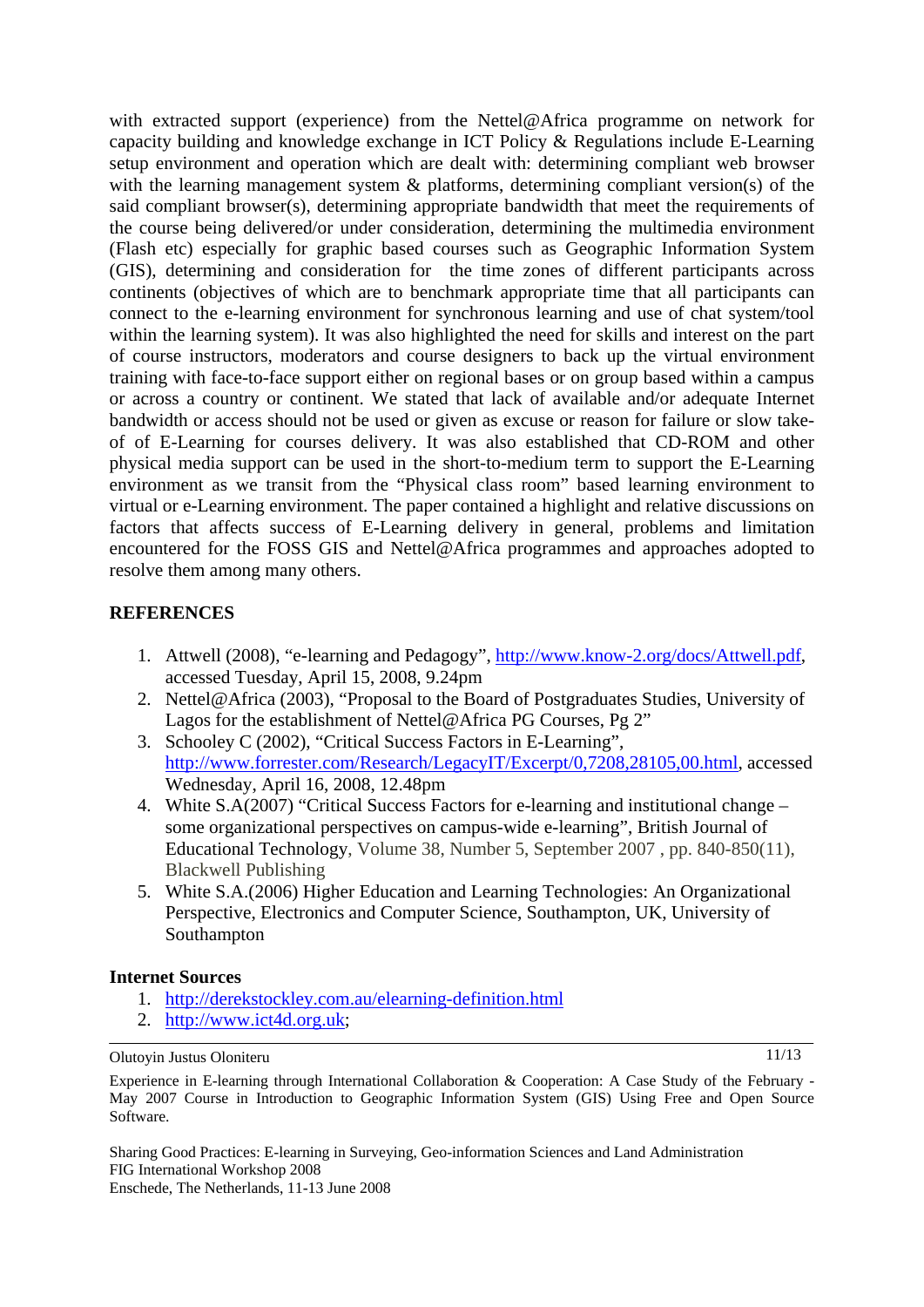with extracted support (experience) from the Nettel@Africa programme on network for capacity building and knowledge exchange in ICT Policy & Regulations include E-Learning setup environment and operation which are dealt with: determining compliant web browser with the learning management system  $\&$  platforms, determining compliant version(s) of the said compliant browser(s), determining appropriate bandwidth that meet the requirements of the course being delivered/or under consideration, determining the multimedia environment (Flash etc) especially for graphic based courses such as Geographic Information System (GIS), determining and consideration for the time zones of different participants across continents (objectives of which are to benchmark appropriate time that all participants can connect to the e-learning environment for synchronous learning and use of chat system/tool within the learning system). It was also highlighted the need for skills and interest on the part of course instructors, moderators and course designers to back up the virtual environment training with face-to-face support either on regional bases or on group based within a campus or across a country or continent. We stated that lack of available and/or adequate Internet bandwidth or access should not be used or given as excuse or reason for failure or slow takeof of E-Learning for courses delivery. It was also established that CD-ROM and other physical media support can be used in the short-to-medium term to support the E-Learning environment as we transit from the "Physical class room" based learning environment to virtual or e-Learning environment. The paper contained a highlight and relative discussions on factors that affects success of E-Learning delivery in general, problems and limitation encountered for the FOSS GIS and Nettel@Africa programmes and approaches adopted to resolve them among many others.

### **REFERENCES**

- 1. Attwell (2008), "e-learning and Pedagogy", [http://www.know-2.org/docs/Attwell.pdf,](http://www.know-2.org/docs/Attwell.pdf) accessed Tuesday, April 15, 2008, 9.24pm
- 2. Nettel@Africa (2003), "Proposal to the Board of Postgraduates Studies, University of Lagos for the establishment of Nettel@Africa PG Courses, Pg 2"
- 3. Schooley C (2002), "Critical Success Factors in E-Learning", [http://www.forrester.com/Research/LegacyIT/Excerpt/0,7208,28105,00.html,](http://www.forrester.com/Research/LegacyIT/Excerpt/0,7208,28105,00.html) accessed Wednesday, April 16, 2008, 12.48pm
- 4. White S.A(2007) "Critical Success Factors for e-learning and institutional change some organizational perspectives on campus-wide e-learning", [British Journal of](http://www.ingentaconnect.com/content/bpl/bjet;jsessionid=zwkkl7rrsxii.alexandra)  [Educational Technology](http://www.ingentaconnect.com/content/bpl/bjet;jsessionid=zwkkl7rrsxii.alexandra), Volume 38, Number 5, September 2007 , pp. 840-850(11), Blackwell Publishing
- 5. White S.A.(2006) Higher Education and Learning Technologies: An Organizational Perspective, Electronics and Computer Science, Southampton, UK, University of Southampton

### **Internet Sources**

- 1. <http://derekstockley.com.au/elearning-definition.html>
- 2. [http://www.ict4d.org.uk](http://www.ict4d.org.uk/);

Olutoyin Justus Oloniteru

11/13

Experience in E-learning through International Collaboration & Cooperation: A Case Study of the February - May 2007 Course in Introduction to Geographic Information System (GIS) Using Free and Open Source Software.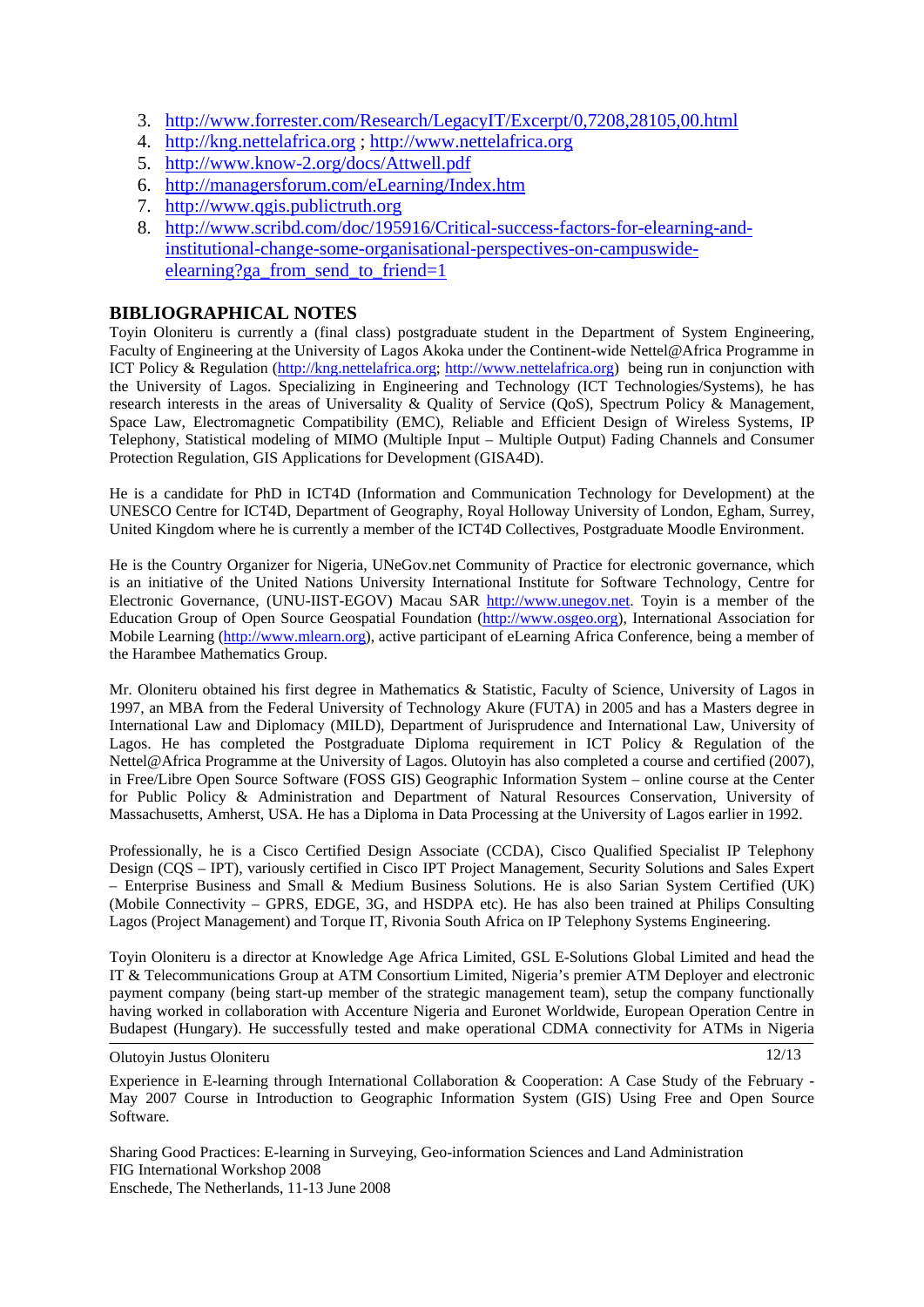- 3. <http://www.forrester.com/Research/LegacyIT/Excerpt/0,7208,28105,00.html>
- 4. [http://kng.nettelafrica.org](http://kng.nettelafrica.org/) ; [http://www.nettelafrica.org](http://www.nettelafrica.org/)
- 5. <http://www.know-2.org/docs/Attwell.pdf>
- 6. <http://managersforum.com/eLearning/Index.htm>
- 7. [http://www.qgis.publictruth.org](http://www.qgis.publictruth.org/)
- 8. [http://www.scribd.com/doc/195916/Critical-success-factors-for-elearning-and](http://www.scribd.com/doc/195916/Critical-success-factors-for-elearning-and-institutional-change-some-organisational-perspectives-on-campuswide-elearning?ga_from_send_to_friend=1)[institutional-change-some-organisational-perspectives-on-campuswide](http://www.scribd.com/doc/195916/Critical-success-factors-for-elearning-and-institutional-change-some-organisational-perspectives-on-campuswide-elearning?ga_from_send_to_friend=1)elearning?ga\_from\_send\_to\_friend=1

#### **BIBLIOGRAPHICAL NOTES**

Toyin Oloniteru is currently a (final class) postgraduate student in the Department of System Engineering, Faculty of Engineering at the University of Lagos Akoka under the Continent-wide Nettel@Africa Programme in ICT Policy & Regulation [\(http://kng.nettelafrica.org](http://kng.nettelafrica.org/); [http://www.nettelafrica.org\)](http://www.nettelafrica.org/) being run in conjunction with the University of Lagos. Specializing in Engineering and Technology (ICT Technologies/Systems), he has research interests in the areas of Universality & Quality of Service (QoS), Spectrum Policy & Management, Space Law, Electromagnetic Compatibility (EMC), Reliable and Efficient Design of Wireless Systems, IP Telephony, Statistical modeling of MIMO (Multiple Input – Multiple Output) Fading Channels and Consumer Protection Regulation, GIS Applications for Development (GISA4D).

He is a candidate for PhD in ICT4D (Information and Communication Technology for Development) at the UNESCO Centre for ICT4D, Department of Geography, Royal Holloway University of London, Egham, Surrey, United Kingdom where he is currently a member of the ICT4D Collectives, Postgraduate Moodle Environment.

He is the Country Organizer for Nigeria, UNeGov.net Community of Practice for electronic governance, which is an initiative of the United Nations University International Institute for Software Technology, Centre for Electronic Governance, (UNU-IIST-EGOV) Macau SAR [http://www.unegov.net](http://www.unegov.net/). Toyin is a member of the Education Group of Open Source Geospatial Foundation [\(http://www.osgeo.org](http://www.osgeo.org/)), International Association for Mobile Learning [\(http://www.mlearn.org\)](http://www.mlearn.org/), active participant of eLearning Africa Conference, being a member of the Harambee Mathematics Group.

Mr. Oloniteru obtained his first degree in Mathematics & Statistic, Faculty of Science, University of Lagos in 1997, an MBA from the Federal University of Technology Akure (FUTA) in 2005 and has a Masters degree in International Law and Diplomacy (MILD), Department of Jurisprudence and International Law, University of Lagos. He has completed the Postgraduate Diploma requirement in ICT Policy & Regulation of the Nettel@Africa Programme at the University of Lagos. Olutoyin has also completed a course and certified (2007), in Free/Libre Open Source Software (FOSS GIS) Geographic Information System – online course at the Center for Public Policy & Administration and Department of Natural Resources Conservation, University of Massachusetts, Amherst, USA. He has a Diploma in Data Processing at the University of Lagos earlier in 1992.

Professionally, he is a Cisco Certified Design Associate (CCDA), Cisco Qualified Specialist IP Telephony Design (CQS – IPT), variously certified in Cisco IPT Project Management, Security Solutions and Sales Expert – Enterprise Business and Small & Medium Business Solutions. He is also Sarian System Certified (UK) (Mobile Connectivity – GPRS, EDGE, 3G, and HSDPA etc). He has also been trained at Philips Consulting Lagos (Project Management) and Torque IT, Rivonia South Africa on IP Telephony Systems Engineering.

Toyin Oloniteru is a director at Knowledge Age Africa Limited, GSL E-Solutions Global Limited and head the IT & Telecommunications Group at ATM Consortium Limited, Nigeria's premier ATM Deployer and electronic payment company (being start-up member of the strategic management team), setup the company functionally having worked in collaboration with Accenture Nigeria and Euronet Worldwide, European Operation Centre in Budapest (Hungary). He successfully tested and make operational CDMA connectivity for ATMs in Nigeria

Olutoyin Justus Oloniteru

12/13

Experience in E-learning through International Collaboration & Cooperation: A Case Study of the February - May 2007 Course in Introduction to Geographic Information System (GIS) Using Free and Open Source Software.